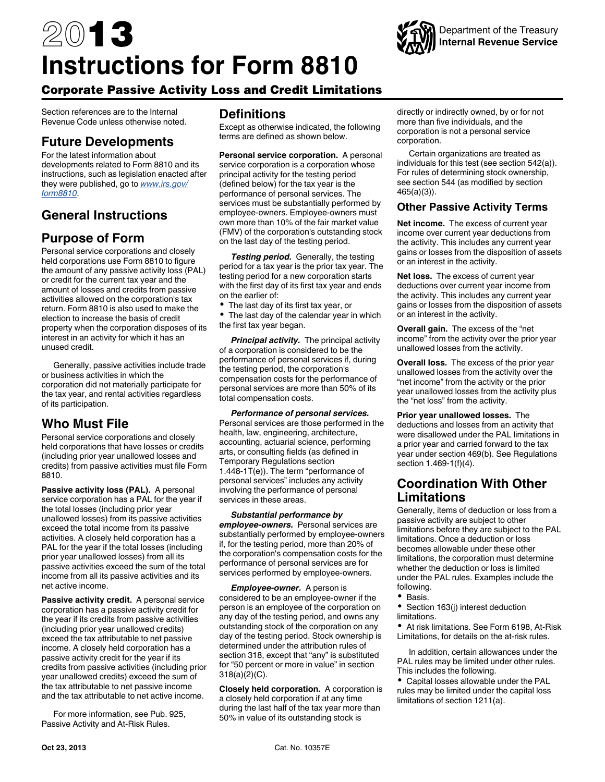# 2013 **Instructions for Form 8810**



# Corporate Passive Activity Loss and Credit Limitations

Section references are to the Internal Revenue Code unless otherwise noted.

# **Future Developments**

For the latest information about developments related to Form 8810 and its instructions, such as legislation enacted after they were published, go to *[www.irs.gov/](http://www.irs.gov/form8810) [form8810](http://www.irs.gov/form8810)*.

# **General Instructions**

# **Purpose of Form**

Personal service corporations and closely held corporations use Form 8810 to figure the amount of any passive activity loss (PAL) or credit for the current tax year and the amount of losses and credits from passive activities allowed on the corporation's tax return. Form 8810 is also used to make the election to increase the basis of credit property when the corporation disposes of its interest in an activity for which it has an unused credit.

Generally, passive activities include trade or business activities in which the corporation did not materially participate for the tax year, and rental activities regardless of its participation.

## **Who Must File**

Personal service corporations and closely held corporations that have losses or credits (including prior year unallowed losses and credits) from passive activities must file Form 8810.

**Passive activity loss (PAL).** A personal service corporation has a PAL for the year if the total losses (including prior year unallowed losses) from its passive activities exceed the total income from its passive activities. A closely held corporation has a PAL for the year if the total losses (including prior year unallowed losses) from all its passive activities exceed the sum of the total income from all its passive activities and its net active income.

**Passive activity credit.** A personal service corporation has a passive activity credit for the year if its credits from passive activities (including prior year unallowed credits) exceed the tax attributable to net passive income. A closely held corporation has a passive activity credit for the year if its credits from passive activities (including prior year unallowed credits) exceed the sum of the tax attributable to net passive income and the tax attributable to net active income.

For more information, see Pub. 925, Passive Activity and At-Risk Rules.

## **Definitions**

Except as otherwise indicated, the following terms are defined as shown below.

**Personal service corporation.** A personal service corporation is a corporation whose principal activity for the testing period (defined below) for the tax year is the performance of personal services. The services must be substantially performed by employee-owners. Employee-owners must own more than 10% of the fair market value (FMV) of the corporation's outstanding stock on the last day of the testing period.

*Testing period.* Generally, the testing period for a tax year is the prior tax year. The testing period for a new corporation starts with the first day of its first tax year and ends on the earlier of:

The last day of its first tax year, or

• The last day of the calendar year in which the first tax year began.

*Principal activity.* The principal activity of a corporation is considered to be the performance of personal services if, during the testing period, the corporation's compensation costs for the performance of personal services are more than 50% of its total compensation costs.

*Performance of personal services.*  Personal services are those performed in the health, law, engineering, architecture, accounting, actuarial science, performing arts, or consulting fields (as defined in Temporary Regulations section 1.448-1T(e)). The term "performance of personal services" includes any activity involving the performance of personal services in these areas.

*Substantial performance by employee-owners.* Personal services are substantially performed by employee-owners if, for the testing period, more than 20% of the corporation's compensation costs for the performance of personal services are for services performed by employee-owners.

*Employee-owner.* A person is considered to be an employee-owner if the person is an employee of the corporation on any day of the testing period, and owns any outstanding stock of the corporation on any day of the testing period. Stock ownership is determined under the attribution rules of section 318, except that "any" is substituted for "50 percent or more in value" in section 318(a)(2)(C).

**Closely held corporation.** A corporation is a closely held corporation if at any time during the last half of the tax year more than 50% in value of its outstanding stock is

directly or indirectly owned, by or for not more than five individuals, and the corporation is not a personal service corporation.

Certain organizations are treated as individuals for this test (see section 542(a)). For rules of determining stock ownership, see section 544 (as modified by section 465(a)(3)).

## **Other Passive Activity Terms**

**Net income.** The excess of current year income over current year deductions from the activity. This includes any current year gains or losses from the disposition of assets or an interest in the activity.

**Net loss.** The excess of current year deductions over current year income from the activity. This includes any current year gains or losses from the disposition of assets or an interest in the activity.

**Overall gain.** The excess of the "net income" from the activity over the prior year unallowed losses from the activity.

**Overall loss.** The excess of the prior year unallowed losses from the activity over the "net income" from the activity or the prior year unallowed losses from the activity plus the "net loss" from the activity.

**Prior year unallowed losses.** The deductions and losses from an activity that were disallowed under the PAL limitations in a prior year and carried forward to the tax year under section 469(b). See Regulations section 1.469-1(f)(4).

## **Coordination With Other Limitations**

Generally, items of deduction or loss from a passive activity are subject to other limitations before they are subject to the PAL limitations. Once a deduction or loss becomes allowable under these other limitations, the corporation must determine whether the deduction or loss is limited under the PAL rules. Examples include the following.

- $\bullet$  Basis.
- Section 163(j) interest deduction limitations.

At risk limitations. See Form 6198, At-Risk Limitations, for details on the at-risk rules.

In addition, certain allowances under the PAL rules may be limited under other rules. This includes the following.

Capital losses allowable under the PAL rules may be limited under the capital loss limitations of section 1211(a).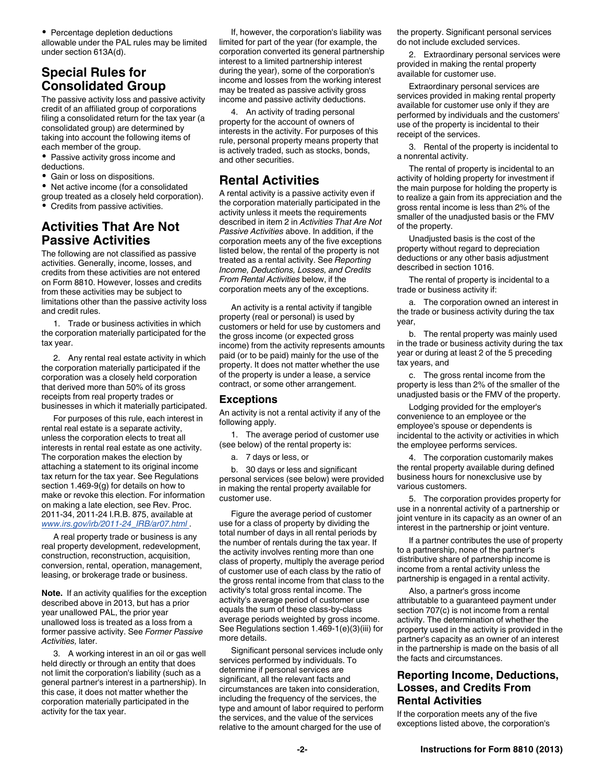• Percentage depletion deductions allowable under the PAL rules may be limited under section 613A(d).

# **Special Rules for Consolidated Group**

The passive activity loss and passive activity credit of an affiliated group of corporations filing a consolidated return for the tax year (a consolidated group) are determined by taking into account the following items of each member of the group.

- Passive activity gross income and deductions.
- Gain or loss on dispositions.
- Net active income (for a consolidated
- group treated as a closely held corporation). Credits from passive activities.

# **Activities That Are Not Passive Activities**

The following are not classified as passive activities. Generally, income, losses, and credits from these activities are not entered on Form 8810. However, losses and credits from these activities may be subject to limitations other than the passive activity loss and credit rules.

1. Trade or business activities in which the corporation materially participated for the tax year.

2. Any rental real estate activity in which the corporation materially participated if the corporation was a closely held corporation that derived more than 50% of its gross receipts from real property trades or businesses in which it materially participated.

For purposes of this rule, each interest in rental real estate is a separate activity, unless the corporation elects to treat all interests in rental real estate as one activity. The corporation makes the election by attaching a statement to its original income tax return for the tax year. See Regulations section 1.469-9(g) for details on how to make or revoke this election. For information on making a late election, see Rev. Proc. 2011-34, 2011-24 I.R.B. 875, available at *[www.irs.gov/irb/2011-24\\_IRB/ar07.html](http://www.irs.gov/irb/2011-24_IRB/ar07.html)* .

A real property trade or business is any real property development, redevelopment, construction, reconstruction, acquisition, conversion, rental, operation, management, leasing, or brokerage trade or business.

**Note.** If an activity qualifies for the exception described above in 2013, but has a prior year unallowed PAL, the prior year unallowed loss is treated as a loss from a former passive activity. See *Former Passive Activities,* later.

3. A working interest in an oil or gas well held directly or through an entity that does not limit the corporation's liability (such as a general partner's interest in a partnership). In this case, it does not matter whether the corporation materially participated in the activity for the tax year.

If, however, the corporation's liability was limited for part of the year (for example, the corporation converted its general partnership interest to a limited partnership interest during the year), some of the corporation's income and losses from the working interest may be treated as passive activity gross income and passive activity deductions.

4. An activity of trading personal property for the account of owners of interests in the activity. For purposes of this rule, personal property means property that is actively traded, such as stocks, bonds, and other securities.

## **Rental Activities**

A rental activity is a passive activity even if the corporation materially participated in the activity unless it meets the requirements described in item 2 in *Activities That Are Not Passive Activities* above. In addition, if the corporation meets any of the five exceptions listed below, the rental of the property is not treated as a rental activity. See *Reporting Income, Deductions, Losses, and Credits From Rental Activities* below, if the corporation meets any of the exceptions.

An activity is a rental activity if tangible property (real or personal) is used by customers or held for use by customers and the gross income (or expected gross income) from the activity represents amounts paid (or to be paid) mainly for the use of the property. It does not matter whether the use of the property is under a lease, a service contract, or some other arrangement.

#### **Exceptions**

An activity is not a rental activity if any of the following apply.

1. The average period of customer use (see below) of the rental property is:

a. 7 days or less, or

b. 30 days or less and significant personal services (see below) were provided in making the rental property available for customer use.

Figure the average period of customer use for a class of property by dividing the total number of days in all rental periods by the number of rentals during the tax year. If the activity involves renting more than one class of property, multiply the average period of customer use of each class by the ratio of the gross rental income from that class to the activity's total gross rental income. The activity's average period of customer use equals the sum of these class-by-class average periods weighted by gross income. See Regulations section 1.469-1(e)(3)(iii) for more details.

Significant personal services include only services performed by individuals. To determine if personal services are significant, all the relevant facts and circumstances are taken into consideration, including the frequency of the services, the type and amount of labor required to perform the services, and the value of the services relative to the amount charged for the use of

the property. Significant personal services do not include excluded services.

2. Extraordinary personal services were provided in making the rental property available for customer use.

Extraordinary personal services are services provided in making rental property available for customer use only if they are performed by individuals and the customers' use of the property is incidental to their receipt of the services.

3. Rental of the property is incidental to a nonrental activity.

The rental of property is incidental to an activity of holding property for investment if the main purpose for holding the property is to realize a gain from its appreciation and the gross rental income is less than 2% of the smaller of the unadjusted basis or the FMV of the property.

Unadjusted basis is the cost of the property without regard to depreciation deductions or any other basis adjustment described in section 1016.

The rental of property is incidental to a trade or business activity if:

a. The corporation owned an interest in the trade or business activity during the tax year,

b. The rental property was mainly used in the trade or business activity during the tax year or during at least 2 of the 5 preceding tax years, and

c. The gross rental income from the property is less than 2% of the smaller of the unadjusted basis or the FMV of the property.

Lodging provided for the employer's convenience to an employee or the employee's spouse or dependents is incidental to the activity or activities in which the employee performs services.

4. The corporation customarily makes the rental property available during defined business hours for nonexclusive use by various customers.

5. The corporation provides property for use in a nonrental activity of a partnership or joint venture in its capacity as an owner of an interest in the partnership or joint venture.

If a partner contributes the use of property to a partnership, none of the partner's distributive share of partnership income is income from a rental activity unless the partnership is engaged in a rental activity.

Also, a partner's gross income attributable to a guaranteed payment under section 707(c) is not income from a rental activity. The determination of whether the property used in the activity is provided in the partner's capacity as an owner of an interest in the partnership is made on the basis of all the facts and circumstances.

## **Reporting Income, Deductions, Losses, and Credits From Rental Activities**

If the corporation meets any of the five exceptions listed above, the corporation's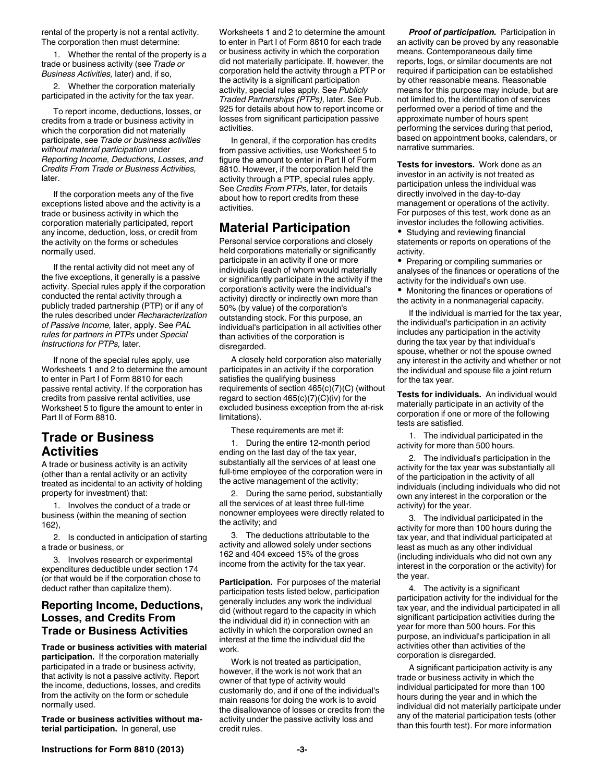rental of the property is not a rental activity. The corporation then must determine:

1. Whether the rental of the property is a trade or business activity (see *Trade or Business Activities,* later) and, if so,

2. Whether the corporation materially participated in the activity for the tax year.

To report income, deductions, losses, or credits from a trade or business activity in which the corporation did not materially participate, see *Trade or business activities without material participation* under *Reporting Income, Deductions, Losses, and Credits From Trade or Business Activities,*  later.

If the corporation meets any of the five exceptions listed above and the activity is a trade or business activity in which the corporation materially participated, report any income, deduction, loss, or credit from the activity on the forms or schedules normally used.

If the rental activity did not meet any of the five exceptions, it generally is a passive activity. Special rules apply if the corporation conducted the rental activity through a publicly traded partnership (PTP) or if any of the rules described under *Recharacterization of Passive Income,* later, apply. See *PAL rules for partners in PTPs* under *Special Instructions for PTPs,* later.

If none of the special rules apply, use Worksheets 1 and 2 to determine the amount to enter in Part I of Form 8810 for each passive rental activity. If the corporation has credits from passive rental activities, use Worksheet 5 to figure the amount to enter in Part II of Form 8810.

## **Trade or Business Activities**

A trade or business activity is an activity (other than a rental activity or an activity treated as incidental to an activity of holding property for investment) that:

1. Involves the conduct of a trade or business (within the meaning of section 162),

2. Is conducted in anticipation of starting a trade or business, or

3. Involves research or experimental expenditures deductible under section 174 (or that would be if the corporation chose to deduct rather than capitalize them).

## **Reporting Income, Deductions, Losses, and Credits From Trade or Business Activities**

**Trade or business activities with material participation.** If the corporation materially participated in a trade or business activity, that activity is not a passive activity. Report the income, deductions, losses, and credits from the activity on the form or schedule normally used.

**Trade or business activities without material participation.** In general, use

Worksheets 1 and 2 to determine the amount to enter in Part I of Form 8810 for each trade or business activity in which the corporation did not materially participate. If, however, the corporation held the activity through a PTP or the activity is a significant participation activity, special rules apply. See *Publicly Traded Partnerships (PTPs),* later. See Pub. 925 for details about how to report income or losses from significant participation passive activities.

In general, if the corporation has credits from passive activities, use Worksheet 5 to figure the amount to enter in Part II of Form 8810. However, if the corporation held the activity through a PTP, special rules apply. See *Credits From PTPs,* later, for details about how to report credits from these activities.

## **Material Participation**

Personal service corporations and closely held corporations materially or significantly participate in an activity if one or more individuals (each of whom would materially or significantly participate in the activity if the corporation's activity were the individual's activity) directly or indirectly own more than 50% (by value) of the corporation's outstanding stock. For this purpose, an individual's participation in all activities other than activities of the corporation is disregarded.

A closely held corporation also materially participates in an activity if the corporation satisfies the qualifying business requirements of section 465(c)(7)(C) (without regard to section  $465(c)(7)(C)(iv)$  for the excluded business exception from the at-risk limitations).

These requirements are met if:

1. During the entire 12-month period ending on the last day of the tax year, substantially all the services of at least one full-time employee of the corporation were in the active management of the activity;

2. During the same period, substantially all the services of at least three full-time nonowner employees were directly related to the activity; and

3. The deductions attributable to the activity and allowed solely under sections 162 and 404 exceed 15% of the gross income from the activity for the tax year.

**Participation.** For purposes of the material participation tests listed below, participation generally includes any work the individual did (without regard to the capacity in which the individual did it) in connection with an activity in which the corporation owned an interest at the time the individual did the work.

Work is not treated as participation, however, if the work is not work that an owner of that type of activity would customarily do, and if one of the individual's main reasons for doing the work is to avoid the disallowance of losses or credits from the activity under the passive activity loss and credit rules.

*Proof of participation.* Participation in an activity can be proved by any reasonable means. Contemporaneous daily time reports, logs, or similar documents are not required if participation can be established by other reasonable means. Reasonable means for this purpose may include, but are not limited to, the identification of services performed over a period of time and the approximate number of hours spent performing the services during that period, based on appointment books, calendars, or narrative summaries.

**Tests for investors.** Work done as an investor in an activity is not treated as participation unless the individual was directly involved in the day-to-day management or operations of the activity. For purposes of this test, work done as an investor includes the following activities.

Studying and reviewing financial statements or reports on operations of the activity.

• Preparing or compiling summaries or analyses of the finances or operations of the activity for the individual's own use.

Monitoring the finances or operations of the activity in a nonmanagerial capacity.

If the individual is married for the tax year, the individual's participation in an activity includes any participation in the activity during the tax year by that individual's spouse, whether or not the spouse owned any interest in the activity and whether or not the individual and spouse file a joint return for the tax year.

**Tests for individuals.** An individual would materially participate in an activity of the corporation if one or more of the following tests are satisfied.

1. The individual participated in the activity for more than 500 hours.

2. The individual's participation in the activity for the tax year was substantially all of the participation in the activity of all individuals (including individuals who did not own any interest in the corporation or the activity) for the year.

3. The individual participated in the activity for more than 100 hours during the tax year, and that individual participated at least as much as any other individual (including individuals who did not own any interest in the corporation or the activity) for the year.

4. The activity is a significant participation activity for the individual for the tax year, and the individual participated in all significant participation activities during the year for more than 500 hours. For this purpose, an individual's participation in all activities other than activities of the corporation is disregarded.

A significant participation activity is any trade or business activity in which the individual participated for more than 100 hours during the year and in which the individual did not materially participate under any of the material participation tests (other than this fourth test). For more information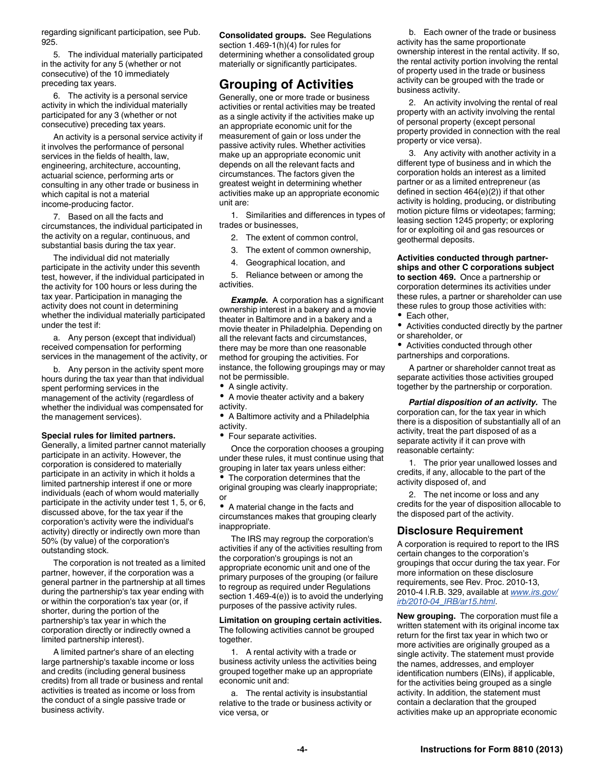regarding significant participation, see Pub. 925.

5. The individual materially participated in the activity for any 5 (whether or not consecutive) of the 10 immediately preceding tax years.

6. The activity is a personal service activity in which the individual materially participated for any 3 (whether or not consecutive) preceding tax years.

An activity is a personal service activity if it involves the performance of personal services in the fields of health, law, engineering, architecture, accounting, actuarial science, performing arts or consulting in any other trade or business in which capital is not a material income-producing factor.

7. Based on all the facts and circumstances, the individual participated in the activity on a regular, continuous, and substantial basis during the tax year.

The individual did not materially participate in the activity under this seventh test, however, if the individual participated in the activity for 100 hours or less during the tax year. Participation in managing the activity does not count in determining whether the individual materially participated under the test if:

a. Any person (except that individual) received compensation for performing services in the management of the activity, or

b. Any person in the activity spent more hours during the tax year than that individual spent performing services in the management of the activity (regardless of whether the individual was compensated for the management services).

#### **Special rules for limited partners.**

Generally, a limited partner cannot materially participate in an activity. However, the corporation is considered to materially participate in an activity in which it holds a limited partnership interest if one or more individuals (each of whom would materially participate in the activity under test 1, 5, or 6, discussed above, for the tax year if the corporation's activity were the individual's activity) directly or indirectly own more than 50% (by value) of the corporation's outstanding stock.

The corporation is not treated as a limited partner, however, if the corporation was a general partner in the partnership at all times during the partnership's tax year ending with or within the corporation's tax year (or, if shorter, during the portion of the partnership's tax year in which the corporation directly or indirectly owned a limited partnership interest).

A limited partner's share of an electing large partnership's taxable income or loss and credits (including general business credits) from all trade or business and rental activities is treated as income or loss from the conduct of a single passive trade or business activity.

**Consolidated groups.** See Regulations section 1.469-1(h)(4) for rules for determining whether a consolidated group materially or significantly participates.

## **Grouping of Activities**

Generally, one or more trade or business activities or rental activities may be treated as a single activity if the activities make up an appropriate economic unit for the measurement of gain or loss under the passive activity rules. Whether activities make up an appropriate economic unit depends on all the relevant facts and circumstances. The factors given the greatest weight in determining whether activities make up an appropriate economic unit are:

1. Similarities and differences in types of trades or businesses,

- 2. The extent of common control,
- 3. The extent of common ownership,
- 4. Geographical location, and

5. Reliance between or among the activities.

*Example.* A corporation has a significant ownership interest in a bakery and a movie theater in Baltimore and in a bakery and a movie theater in Philadelphia. Depending on all the relevant facts and circumstances, there may be more than one reasonable method for grouping the activities. For instance, the following groupings may or may not be permissible.

- A single activity.
- A movie theater activity and a bakery activity.

A Baltimore activity and a Philadelphia activity.

Four separate activities.

Once the corporation chooses a grouping under these rules, it must continue using that grouping in later tax years unless either: The corporation determines that the

original grouping was clearly inappropriate; or

A material change in the facts and circumstances makes that grouping clearly inappropriate.

The IRS may regroup the corporation's activities if any of the activities resulting from the corporation's groupings is not an appropriate economic unit and one of the primary purposes of the grouping (or failure to regroup as required under Regulations section 1.469-4(e)) is to avoid the underlying purposes of the passive activity rules.

**Limitation on grouping certain activities.**  The following activities cannot be grouped together.

1. A rental activity with a trade or business activity unless the activities being grouped together make up an appropriate economic unit and:

a. The rental activity is insubstantial relative to the trade or business activity or vice versa, or

b. Each owner of the trade or business activity has the same proportionate ownership interest in the rental activity. If so, the rental activity portion involving the rental of property used in the trade or business activity can be grouped with the trade or business activity.

2. An activity involving the rental of real property with an activity involving the rental of personal property (except personal property provided in connection with the real property or vice versa).

3. Any activity with another activity in a different type of business and in which the corporation holds an interest as a limited partner or as a limited entrepreneur (as defined in section 464(e)(2)) if that other activity is holding, producing, or distributing motion picture films or videotapes; farming; leasing section 1245 property; or exploring for or exploiting oil and gas resources or geothermal deposits.

## **Activities conducted through partner-**

**ships and other C corporations subject to section 469.** Once a partnership or corporation determines its activities under these rules, a partner or shareholder can use these rules to group those activities with:

- Each other,
- Activities conducted directly by the partner or shareholder, or
- Activities conducted through other partnerships and corporations.

A partner or shareholder cannot treat as separate activities those activities grouped together by the partnership or corporation.

*Partial disposition of an activity.* The corporation can, for the tax year in which there is a disposition of substantially all of an activity, treat the part disposed of as a separate activity if it can prove with reasonable certainty:

1. The prior year unallowed losses and credits, if any, allocable to the part of the activity disposed of, and

2. The net income or loss and any credits for the year of disposition allocable to the disposed part of the activity.

#### **Disclosure Requirement**

A corporation is required to report to the IRS certain changes to the corporation's groupings that occur during the tax year. For more information on these disclosure requirements, see Rev. Proc. 2010-13, 2010-4 I.R.B. 329, available at *[www.irs.gov/](http://www.irs.gov/irb/2010-04_IRB/ar15.html) [irb/2010-04\\_IRB/ar15.html](http://www.irs.gov/irb/2010-04_IRB/ar15.html)*.

**New grouping.** The corporation must file a written statement with its original income tax return for the first tax year in which two or more activities are originally grouped as a single activity. The statement must provide the names, addresses, and employer identification numbers (EINs), if applicable, for the activities being grouped as a single activity. In addition, the statement must contain a declaration that the grouped activities make up an appropriate economic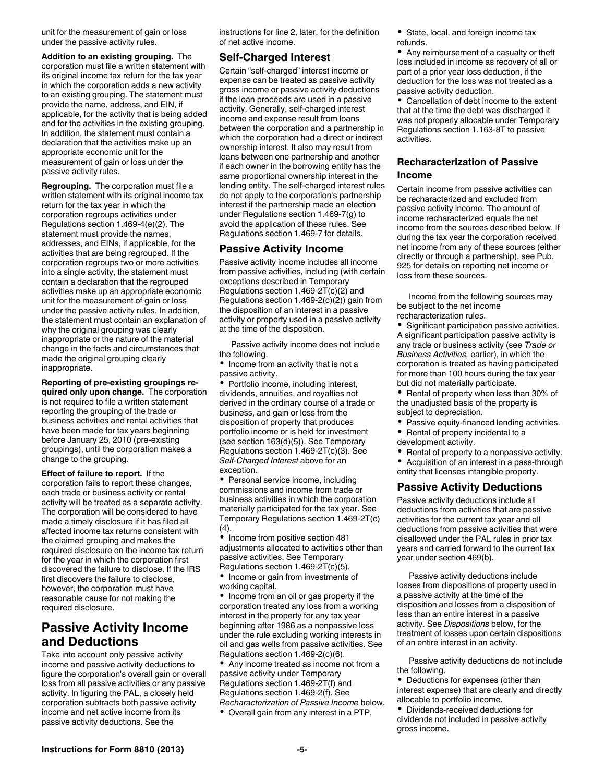unit for the measurement of gain or loss under the passive activity rules.

**Addition to an existing grouping.** The corporation must file a written statement with its original income tax return for the tax year in which the corporation adds a new activity to an existing grouping. The statement must provide the name, address, and EIN, if applicable, for the activity that is being added and for the activities in the existing grouping. In addition, the statement must contain a declaration that the activities make up an appropriate economic unit for the measurement of gain or loss under the passive activity rules.

**Regrouping.** The corporation must file a written statement with its original income tax return for the tax year in which the corporation regroups activities under Regulations section 1.469-4(e)(2). The statement must provide the names, addresses, and EINs, if applicable, for the activities that are being regrouped. If the corporation regroups two or more activities into a single activity, the statement must contain a declaration that the regrouped activities make up an appropriate economic unit for the measurement of gain or loss under the passive activity rules. In addition, the statement must contain an explanation of why the original grouping was clearly inappropriate or the nature of the material change in the facts and circumstances that made the original grouping clearly inappropriate.

#### **Reporting of pre-existing groupings re-**

**quired only upon change.** The corporation is not required to file a written statement reporting the grouping of the trade or business activities and rental activities that have been made for tax years beginning before January 25, 2010 (pre-existing groupings), until the corporation makes a change to the grouping.

**Effect of failure to report.** If the corporation fails to report these changes, each trade or business activity or rental activity will be treated as a separate activity. The corporation will be considered to have made a timely disclosure if it has filed all affected income tax returns consistent with the claimed grouping and makes the required disclosure on the income tax return for the year in which the corporation first discovered the failure to disclose. If the IRS first discovers the failure to disclose, however, the corporation must have reasonable cause for not making the required disclosure.

## **Passive Activity Income and Deductions**

Take into account only passive activity income and passive activity deductions to figure the corporation's overall gain or overall loss from all passive activities or any passive activity. In figuring the PAL, a closely held corporation subtracts both passive activity income and net active income from its passive activity deductions. See the

instructions for line 2, later, for the definition of net active income.

#### **Self-Charged Interest**

Certain "self-charged" interest income or expense can be treated as passive activity gross income or passive activity deductions if the loan proceeds are used in a passive activity. Generally, self-charged interest income and expense result from loans between the corporation and a partnership in which the corporation had a direct or indirect ownership interest. It also may result from loans between one partnership and another if each owner in the borrowing entity has the same proportional ownership interest in the lending entity. The self-charged interest rules do not apply to the corporation's partnership interest if the partnership made an election under Regulations section 1.469-7(g) to avoid the application of these rules. See Regulations section 1.469-7 for details.

#### **Passive Activity Income**

Passive activity income includes all income from passive activities, including (with certain exceptions described in Temporary Regulations section 1.469-2T(c)(2) and Regulations section 1.469-2(c)(2)) gain from the disposition of an interest in a passive activity or property used in a passive activity at the time of the disposition.

Passive activity income does not include the following.

• Income from an activity that is not a passive activity.

• Portfolio income, including interest, dividends, annuities, and royalties not derived in the ordinary course of a trade or business, and gain or loss from the disposition of property that produces portfolio income or is held for investment (see section 163(d)(5)). See Temporary Regulations section 1.469-2T(c)(3). See *Self-Charged Interest* above for an exception.

• Personal service income, including commissions and income from trade or business activities in which the corporation materially participated for the tax year. See Temporary Regulations section 1.469-2T(c) (4).

 $\bullet$  Income from positive section 481 adjustments allocated to activities other than passive activities. See Temporary Regulations section 1.469-2T(c)(5).

• Income or gain from investments of working capital.

• Income from an oil or gas property if the corporation treated any loss from a working interest in the property for any tax year beginning after 1986 as a nonpassive loss under the rule excluding working interests in oil and gas wells from passive activities. See Regulations section 1.469-2(c)(6).

Any income treated as income not from a passive activity under Temporary Regulations section 1.469-2T(f) and Regulations section 1.469-2(f). See *Recharacterization of Passive Income* below.

Overall gain from any interest in a PTP.

• State, local, and foreign income tax refunds.

Any reimbursement of a casualty or theft loss included in income as recovery of all or part of a prior year loss deduction, if the deduction for the loss was not treated as a passive activity deduction.

Cancellation of debt income to the extent that at the time the debt was discharged it was not properly allocable under Temporary Regulations section 1.163-8T to passive activities.

#### **Recharacterization of Passive Income**

Certain income from passive activities can be recharacterized and excluded from passive activity income. The amount of income recharacterized equals the net income from the sources described below. If during the tax year the corporation received net income from any of these sources (either directly or through a partnership), see Pub. 925 for details on reporting net income or loss from these sources.

Income from the following sources may be subject to the net income recharacterization rules.

Significant participation passive activities. A significant participation passive activity is any trade or business activity (see *Trade or Business Activities,* earlier), in which the corporation is treated as having participated for more than 100 hours during the tax year but did not materially participate.

Rental of property when less than 30% of ٠ the unadjusted basis of the property is subject to depreciation.

- Passive equity-financed lending activities.
- Rental of property incidental to a
- development activity.
- Rental of property to a nonpassive activity.  $\bullet$ Acquisition of an interest in a pass-through
- entity that licenses intangible property.

#### **Passive Activity Deductions**

Passive activity deductions include all deductions from activities that are passive activities for the current tax year and all deductions from passive activities that were disallowed under the PAL rules in prior tax years and carried forward to the current tax year under section 469(b).

Passive activity deductions include losses from dispositions of property used in a passive activity at the time of the disposition and losses from a disposition of less than an entire interest in a passive activity. See *Dispositions* below, for the treatment of losses upon certain dispositions of an entire interest in an activity.

Passive activity deductions do not include the following.

Deductions for expenses (other than interest expense) that are clearly and directly allocable to portfolio income.

Dividends-received deductions for dividends not included in passive activity gross income.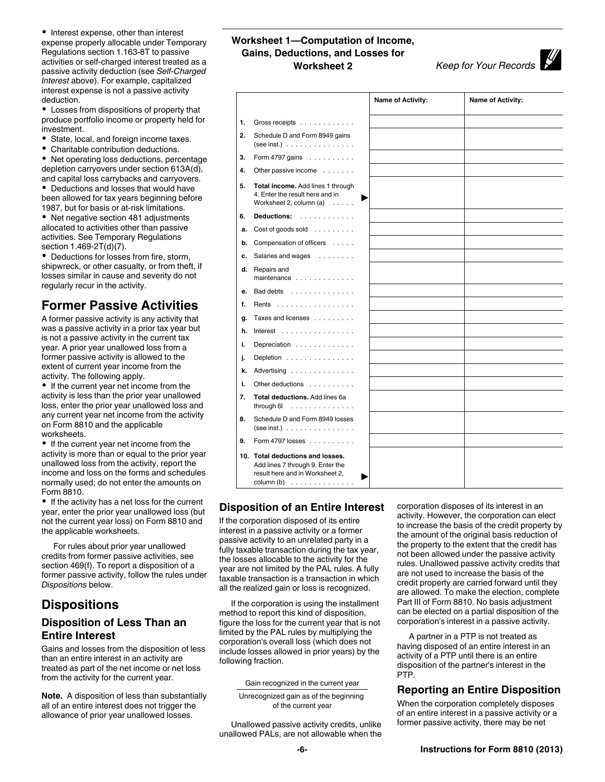• Interest expense, other than interest expense properly allocable under Temporary Regulations section 1.163-8T to passive activities or self-charged interest treated as a passive activity deduction (see *Self-Charged Interest* above). For example, capitalized interest expense is not a passive activity deduction.

Losses from dispositions of property that produce portfolio income or property held for investment.

- State, local, and foreign income taxes.
- Charitable contribution deductions.

Net operating loss deductions, percentage depletion carryovers under section 613A(d), and capital loss carrybacks and carryovers.

Deductions and losses that would have been allowed for tax years beginning before 1987, but for basis or at-risk limitations.

• Net negative section 481 adjustments allocated to activities other than passive activities. See Temporary Regulations section 1.469-2T(d)(7).

Deductions for losses from fire, storm, shipwreck, or other casualty, or from theft, if losses similar in cause and severity do not regularly recur in the activity.

# **Former Passive Activities**

A former passive activity is any activity that was a passive activity in a prior tax year but is not a passive activity in the current tax year. A prior year unallowed loss from a former passive activity is allowed to the extent of current year income from the activity. The following apply.

• If the current year net income from the activity is less than the prior year unallowed loss, enter the prior year unallowed loss and any current year net income from the activity on Form 8810 and the applicable worksheets.

If the current year net income from the activity is more than or equal to the prior year unallowed loss from the activity, report the income and loss on the forms and schedules normally used; do not enter the amounts on Form 8810.

• If the activity has a net loss for the current year, enter the prior year unallowed loss (but not the current year loss) on Form 8810 and the applicable worksheets.

For rules about prior year unallowed credits from former passive activities, see section 469(f). To report a disposition of a former passive activity, follow the rules under *Dispositions* below.

# **Dispositions**

## **Disposition of Less Than an Entire Interest**

Gains and losses from the disposition of less than an entire interest in an activity are treated as part of the net income or net loss from the activity for the current year.

**Note.** A disposition of less than substantially all of an entire interest does not trigger the allowance of prior year unallowed losses.

## **Worksheet 1—Computation of Income, Gains, Deductions, and Losses for Worksheet 2** *Keep for Your Records*

|    |                                                                                                                                                | Name of Activity: | <b>Name of Activity:</b> |
|----|------------------------------------------------------------------------------------------------------------------------------------------------|-------------------|--------------------------|
| 1. | Gross receipts                                                                                                                                 |                   |                          |
| 2. | Schedule D and Form 8949 gains<br>(see inst.) $\ldots \ldots \ldots \ldots$                                                                    |                   |                          |
| 3. | Form 4797 gains                                                                                                                                |                   |                          |
| 4. | Other passive income                                                                                                                           |                   |                          |
| 5. | Total income. Add lines 1 through<br>4. Enter the result here and in<br>Worksheet 2, column $(a) \dots$ .                                      |                   |                          |
| 6. | Deductions:                                                                                                                                    |                   |                          |
| a. | Cost of goods sold $\ldots$                                                                                                                    |                   |                          |
| b. | Compensation of officers                                                                                                                       |                   |                          |
| c. | Salaries and wages                                                                                                                             |                   |                          |
| d. | Repairs and<br>maintenance $\ldots$ , $\ldots$ , $\ldots$                                                                                      |                   |                          |
| е. | Bad debts                                                                                                                                      |                   |                          |
| f. | Rents                                                                                                                                          |                   |                          |
| g. | Taxes and licenses                                                                                                                             |                   |                          |
| h. | Interest                                                                                                                                       |                   |                          |
| i. | Depreciation                                                                                                                                   |                   |                          |
| j. | Depletion                                                                                                                                      |                   |                          |
| k. | Advertising                                                                                                                                    |                   |                          |
| ı. | Other deductions                                                                                                                               |                   |                          |
| 7. | Total deductions. Add lines 6a<br>through $6!$                                                                                                 |                   |                          |
| 8. | Schedule D and Form 8949 losses<br>$(see inst.) \t \t \t \t$                                                                                   |                   |                          |
| 9. | Form 4797 losses                                                                                                                               |                   |                          |
|    | 10. Total deductions and losses.<br>Add lines 7 through 9. Enter the<br>result here and in Worksheet 2.<br>$column(b) \dots \dots \dots \dots$ |                   |                          |

## **Disposition of an Entire Interest**

If the corporation disposed of its entire interest in a passive activity or a former passive activity to an unrelated party in a fully taxable transaction during the tax year, the losses allocable to the activity for the year are not limited by the PAL rules. A fully taxable transaction is a transaction in which all the realized gain or loss is recognized.

If the corporation is using the installment method to report this kind of disposition, figure the loss for the current year that is not limited by the PAL rules by multiplying the corporation's overall loss (which does not include losses allowed in prior years) by the following fraction.

Gain recognized in the current year

Unrecognized gain as of the beginning of the current year

Unallowed passive activity credits, unlike unallowed PALs, are not allowable when the corporation disposes of its interest in an activity. However, the corporation can elect to increase the basis of the credit property by the amount of the original basis reduction of the property to the extent that the credit has not been allowed under the passive activity rules. Unallowed passive activity credits that are not used to increase the basis of the credit property are carried forward until they are allowed. To make the election, complete Part III of Form 8810. No basis adjustment can be elected on a partial disposition of the corporation's interest in a passive activity.

A partner in a PTP is not treated as having disposed of an entire interest in an activity of a PTP until there is an entire disposition of the partner's interest in the PTP.

## **Reporting an Entire Disposition**

When the corporation completely disposes of an entire interest in a passive activity or a former passive activity, there may be net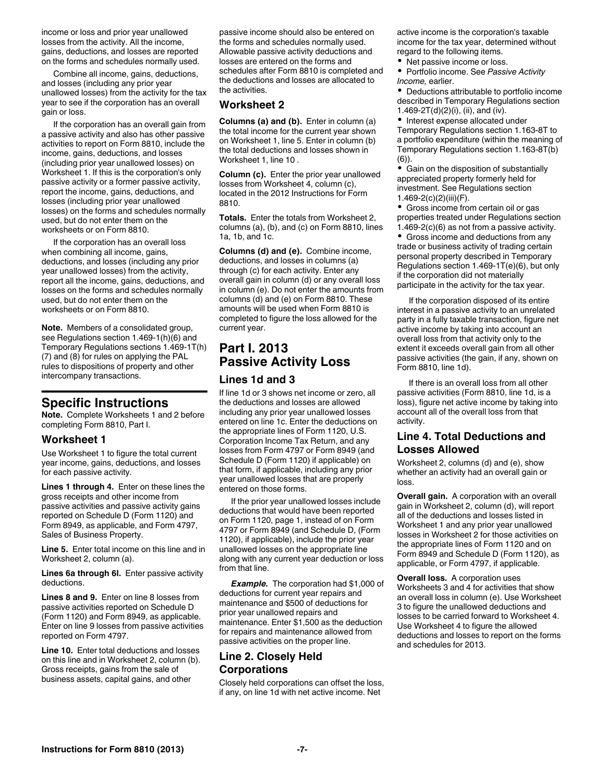income or loss and prior year unallowed losses from the activity. All the income, gains, deductions, and losses are reported on the forms and schedules normally used.

Combine all income, gains, deductions, and losses (including any prior year unallowed losses) from the activity for the tax year to see if the corporation has an overall gain or loss.

If the corporation has an overall gain from a passive activity and also has other passive activities to report on Form 8810, include the income, gains, deductions, and losses (including prior year unallowed losses) on Worksheet 1. If this is the corporation's only passive activity or a former passive activity, report the income, gains, deductions, and losses (including prior year unallowed losses) on the forms and schedules normally used, but do not enter them on the worksheets or on Form 8810.

If the corporation has an overall loss when combining all income, gains, deductions, and losses (including any prior year unallowed losses) from the activity, report all the income, gains, deductions, and losses on the forms and schedules normally used, but do not enter them on the worksheets or on Form 8810.

**Note.** Members of a consolidated group, see Regulations section 1.469-1(h)(6) and Temporary Regulations sections 1.469-1T(h) (7) and (8) for rules on applying the PAL rules to dispositions of property and other intercompany transactions.

## **Specific Instructions**

**Note.** Complete Worksheets 1 and 2 before completing Form 8810, Part I.

### **Worksheet 1**

Use Worksheet 1 to figure the total current year income, gains, deductions, and losses for each passive activity.

**Lines 1 through 4.** Enter on these lines the gross receipts and other income from passive activities and passive activity gains reported on Schedule D (Form 1120) and Form 8949, as applicable, and Form 4797, Sales of Business Property.

**Line 5.** Enter total income on this line and in Worksheet 2, column (a).

**Lines 6a through 6l.** Enter passive activity deductions.

**Lines 8 and 9.** Enter on line 8 losses from passive activities reported on Schedule D (Form 1120) and Form 8949, as applicable. Enter on line 9 losses from passive activities reported on Form 4797.

**Line 10.** Enter total deductions and losses on this line and in Worksheet 2, column (b). Gross receipts, gains from the sale of business assets, capital gains, and other

passive income should also be entered on the forms and schedules normally used. Allowable passive activity deductions and losses are entered on the forms and schedules after Form 8810 is completed and the deductions and losses are allocated to the activities.

### **Worksheet 2**

**Columns (a) and (b).** Enter in column (a) the total income for the current year shown on Worksheet 1, line 5. Enter in column (b) the total deductions and losses shown in Worksheet 1, line 10 .

**Column (c).** Enter the prior year unallowed losses from Worksheet 4, column (c), located in the 2012 Instructions for Form 8810.

**Totals.** Enter the totals from Worksheet 2, columns (a), (b), and (c) on Form 8810, lines 1a, 1b, and 1c.

**Columns (d) and (e).** Combine income, deductions, and losses in columns (a) through (c) for each activity. Enter any overall gain in column (d) or any overall loss in column (e). Do not enter the amounts from columns (d) and (e) on Form 8810. These amounts will be used when Form 8810 is completed to figure the loss allowed for the current year.

# **Part I. 2013 Passive Activity Loss**

#### **Lines 1d and 3**

If line 1d or 3 shows net income or zero, all the deductions and losses are allowed including any prior year unallowed losses entered on line 1c. Enter the deductions on the appropriate lines of Form 1120, U.S. Corporation Income Tax Return, and any losses from Form 4797 or Form 8949 (and Schedule D (Form 1120) if applicable) on that form, if applicable, including any prior year unallowed losses that are properly entered on those forms.

If the prior year unallowed losses include deductions that would have been reported on Form 1120, page 1, instead of on Form 4797 or Form 8949 (and Schedule D, (Form 1120), if applicable), include the prior year unallowed losses on the appropriate line along with any current year deduction or loss from that line.

*Example.* The corporation had \$1,000 of deductions for current year repairs and maintenance and \$500 of deductions for prior year unallowed repairs and maintenance. Enter \$1,500 as the deduction for repairs and maintenance allowed from passive activities on the proper line.

### **Line 2. Closely Held Corporations**

Closely held corporations can offset the loss, if any, on line 1d with net active income. Net

active income is the corporation's taxable income for the tax year, determined without regard to the following items.

• Net passive income or loss.

Portfolio income. See *Passive Activity Income,* earlier.

Deductions attributable to portfolio income described in Temporary Regulations section 1.469-2 $T(d)(2)(i)$ , (ii), and (iv).

• Interest expense allocated under Temporary Regulations section 1.163-8T to a portfolio expenditure (within the meaning of Temporary Regulations section 1.163-8T(b) (6)).

Gain on the disposition of substantially appreciated property formerly held for investment. See Regulations section 1.469-2(c)(2)(iii)(F).

• Gross income from certain oil or gas properties treated under Regulations section 1.469-2(c)(6) as not from a passive activity.

 $\bullet$ Gross income and deductions from any trade or business activity of trading certain personal property described in Temporary Regulations section 1.469-1T(e)(6), but only if the corporation did not materially participate in the activity for the tax year.

If the corporation disposed of its entire interest in a passive activity to an unrelated party in a fully taxable transaction, figure net active income by taking into account an overall loss from that activity only to the extent it exceeds overall gain from all other passive activities (the gain, if any, shown on Form 8810, line 1d).

If there is an overall loss from all other passive activities (Form 8810, line 1d, is a loss), figure net active income by taking into account all of the overall loss from that activity.

## **Line 4. Total Deductions and Losses Allowed**

Worksheet 2, columns (d) and (e), show whether an activity had an overall gain or loss.

**Overall gain.** A corporation with an overall gain in Worksheet 2, column (d), will report all of the deductions and losses listed in Worksheet 1 and any prior year unallowed losses in Worksheet 2 for those activities on the appropriate lines of Form 1120 and on Form 8949 and Schedule D (Form 1120), as applicable, or Form 4797, if applicable.

**Overall loss.** A corporation uses Worksheets 3 and 4 for activities that show an overall loss in column (e). Use Worksheet 3 to figure the unallowed deductions and losses to be carried forward to Worksheet 4. Use Worksheet 4 to figure the allowed deductions and losses to report on the forms and schedules for 2013.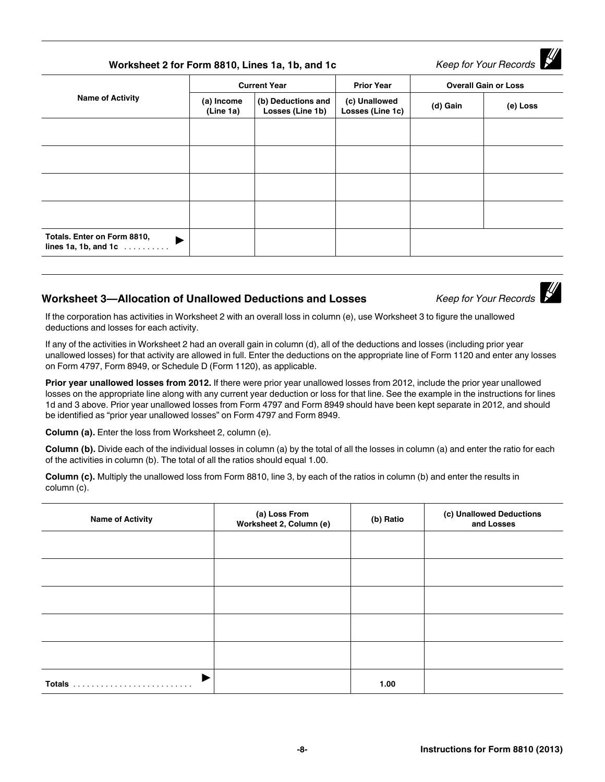| Worksheet 2 for Form 8810, Lines 1a, 1b, and 1c                   |                         |                                        |                                   |                             | Keep for Your Records |
|-------------------------------------------------------------------|-------------------------|----------------------------------------|-----------------------------------|-----------------------------|-----------------------|
|                                                                   | <b>Current Year</b>     |                                        | <b>Prior Year</b>                 | <b>Overall Gain or Loss</b> |                       |
| <b>Name of Activity</b>                                           | (a) Income<br>(Line 1a) | (b) Deductions and<br>Losses (Line 1b) | (c) Unallowed<br>Losses (Line 1c) | (d) Gain                    | (e) Loss              |
|                                                                   |                         |                                        |                                   |                             |                       |
|                                                                   |                         |                                        |                                   |                             |                       |
|                                                                   |                         |                                        |                                   |                             |                       |
|                                                                   |                         |                                        |                                   |                             |                       |
| Totals. Enter on Form 8810,<br>▶<br>lines 1a, 1b, and 1c $\ldots$ |                         |                                        |                                   |                             |                       |
|                                                                   |                         |                                        |                                   |                             |                       |

# **Worksheet 3—Allocation of Unallowed Deductions and Losses** *Keep for Your Records*

If the corporation has activities in Worksheet 2 with an overall loss in column (e), use Worksheet 3 to figure the unallowed deductions and losses for each activity.

If any of the activities in Worksheet 2 had an overall gain in column (d), all of the deductions and losses (including prior year unallowed losses) for that activity are allowed in full. Enter the deductions on the appropriate line of Form 1120 and enter any losses on Form 4797, Form 8949, or Schedule D (Form 1120), as applicable.

**Prior year unallowed losses from 2012.** If there were prior year unallowed losses from 2012, include the prior year unallowed losses on the appropriate line along with any current year deduction or loss for that line. See the example in the instructions for lines 1d and 3 above. Prior year unallowed losses from Form 4797 and Form 8949 should have been kept separate in 2012, and should be identified as "prior year unallowed losses" on Form 4797 and Form 8949.

**Column (a).** Enter the loss from Worksheet 2, column (e).

**Column (b).** Divide each of the individual losses in column (a) by the total of all the losses in column (a) and enter the ratio for each of the activities in column (b). The total of all the ratios should equal 1.00.

**Column (c).** Multiply the unallowed loss from Form 8810, line 3, by each of the ratios in column (b) and enter the results in column (c).

| <b>Name of Activity</b> | (a) Loss From<br>Worksheet 2, Column (e) | (b) Ratio | (c) Unallowed Deductions<br>and Losses |
|-------------------------|------------------------------------------|-----------|----------------------------------------|
|                         |                                          |           |                                        |
|                         |                                          |           |                                        |
|                         |                                          |           |                                        |
|                         |                                          |           |                                        |
|                         |                                          |           |                                        |
|                         |                                          | 1.00      |                                        |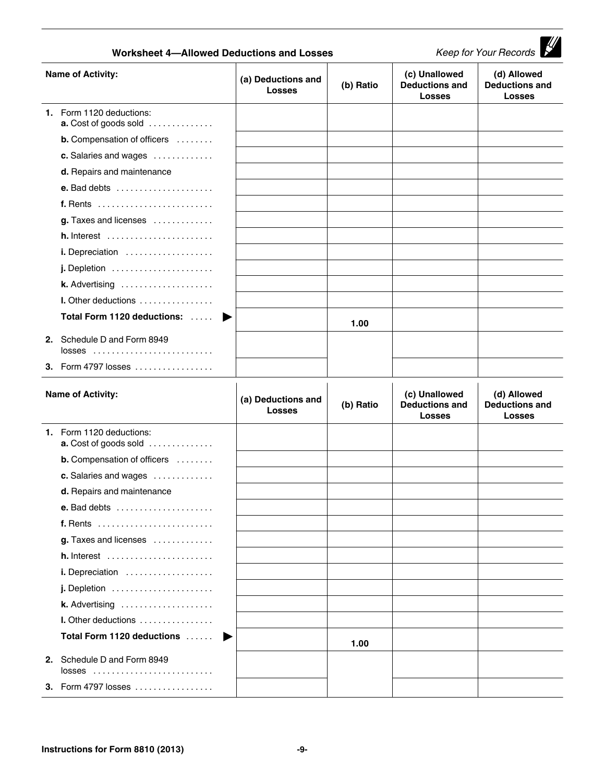| <b>Keep for Your Records</b><br><b>Worksheet 4-Allowed Deductions and Losses</b> |                                                                   |                                     |           |                                                         |                                                       |
|----------------------------------------------------------------------------------|-------------------------------------------------------------------|-------------------------------------|-----------|---------------------------------------------------------|-------------------------------------------------------|
| <b>Name of Activity:</b>                                                         |                                                                   | (a) Deductions and<br><b>Losses</b> | (b) Ratio | (c) Unallowed<br><b>Deductions and</b><br><b>Losses</b> | (d) Allowed<br><b>Deductions and</b><br><b>Losses</b> |
|                                                                                  | 1. Form 1120 deductions:<br>a. Cost of goods sold                 |                                     |           |                                                         |                                                       |
|                                                                                  | <b>b.</b> Compensation of officers                                |                                     |           |                                                         |                                                       |
|                                                                                  | c. Salaries and wages                                             |                                     |           |                                                         |                                                       |
|                                                                                  | d. Repairs and maintenance                                        |                                     |           |                                                         |                                                       |
|                                                                                  | <b>e.</b> Bad debts $\ldots \ldots \ldots \ldots \ldots \ldots$   |                                     |           |                                                         |                                                       |
|                                                                                  |                                                                   |                                     |           |                                                         |                                                       |
|                                                                                  | g. Taxes and licenses                                             |                                     |           |                                                         |                                                       |
|                                                                                  | $h.$ Interest $\ldots \ldots \ldots \ldots \ldots \ldots$         |                                     |           |                                                         |                                                       |
|                                                                                  | i. Depreciation                                                   |                                     |           |                                                         |                                                       |
|                                                                                  | $j.$ Depletion $\ldots \ldots \ldots \ldots \ldots \ldots$        |                                     |           |                                                         |                                                       |
|                                                                                  | <b>k.</b> Advertising $\ldots \ldots \ldots \ldots \ldots \ldots$ |                                     |           |                                                         |                                                       |
|                                                                                  | I. Other deductions                                               |                                     |           |                                                         |                                                       |
|                                                                                  | Total Form 1120 deductions:                                       | ▶                                   | 1.00      |                                                         |                                                       |
|                                                                                  | 2. Schedule D and Form 8949<br>$losses$                           |                                     |           |                                                         |                                                       |
|                                                                                  | 3. Form 4797 losses                                               |                                     |           |                                                         |                                                       |
|                                                                                  | <b>Name of Activity:</b>                                          | (a) Deductions and<br><b>Losses</b> | (b) Ratio | (c) Unallowed<br><b>Deductions and</b><br><b>Losses</b> | (d) Allowed<br><b>Deductions and</b><br>Losses        |
|                                                                                  | 1. Form 1120 deductions:<br>a. Cost of goods sold                 |                                     |           |                                                         |                                                       |
|                                                                                  | <b>b.</b> Compensation of officers                                |                                     |           |                                                         |                                                       |
|                                                                                  | c. Salaries and wages                                             |                                     |           |                                                         |                                                       |
|                                                                                  | d. Repairs and maintenance                                        |                                     |           |                                                         |                                                       |
|                                                                                  |                                                                   |                                     |           |                                                         |                                                       |
|                                                                                  |                                                                   |                                     |           |                                                         |                                                       |
|                                                                                  | g. Taxes and licenses                                             |                                     |           |                                                         |                                                       |
|                                                                                  | $h.$ Interest $\dots\dots\dots\dots\dots\dots\dots\dots\dots$     |                                     |           |                                                         |                                                       |
|                                                                                  | i. Depreciation                                                   |                                     |           |                                                         |                                                       |
|                                                                                  | $j.$ Depletion $\ldots \ldots \ldots \ldots \ldots \ldots$        |                                     |           |                                                         |                                                       |
|                                                                                  | k. Advertising                                                    |                                     |           |                                                         |                                                       |
|                                                                                  | I. Other deductions                                               |                                     |           |                                                         |                                                       |
|                                                                                  | Total Form 1120 deductions                                        |                                     |           |                                                         |                                                       |
|                                                                                  |                                                                   |                                     | 1.00      |                                                         |                                                       |
|                                                                                  | 2. Schedule D and Form 8949<br>$losses$                           |                                     |           |                                                         |                                                       |
|                                                                                  | 3. Form 4797 losses                                               |                                     |           |                                                         |                                                       |
|                                                                                  |                                                                   |                                     |           |                                                         |                                                       |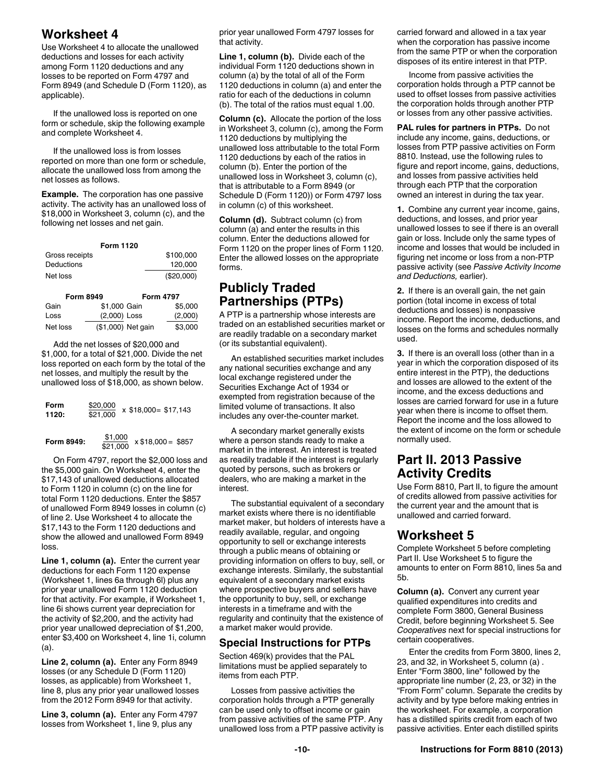# **Worksheet 4**

Use Worksheet 4 to allocate the unallowed deductions and losses for each activity among Form 1120 deductions and any losses to be reported on Form 4797 and Form 8949 (and Schedule D (Form 1120), as applicable).

If the unallowed loss is reported on one form or schedule, skip the following example and complete Worksheet 4.

If the unallowed loss is from losses reported on more than one form or schedule, allocate the unallowed loss from among the net losses as follows.

**Example.** The corporation has one passive activity. The activity has an unallowed loss of \$18,000 in Worksheet 3, column (c), and the following net losses and net gain.

| <b>Form 1120</b> |            |
|------------------|------------|
| Gross receipts   | \$100,000  |
| Deductions       | 120.000    |
| Net loss         | (\$20,000) |

| <b>Form 8949</b> |              | <b>Form 4797</b>   |         |
|------------------|--------------|--------------------|---------|
| Gain             | \$1,000 Gain |                    | \$5,000 |
| Loss             | (2,000) Loss |                    | (2,000) |
| Net loss         |              | (\$1,000) Net gain | \$3,000 |

Add the net losses of \$20,000 and \$1,000, for a total of \$21,000. Divide the net loss reported on each form by the total of the net losses, and multiply the result by the unallowed loss of \$18,000, as shown below.

| Form<br>1120: | \$20,000<br>\$21.000 | $x$ \$18,000 = \$17,143 |
|---------------|----------------------|-------------------------|
| Form 8949:    | \$1,000<br>\$21.000  | $x $18,000 = $857$      |

On Form 4797, report the \$2,000 loss and the \$5,000 gain. On Worksheet 4, enter the \$17,143 of unallowed deductions allocated to Form 1120 in column (c) on the line for total Form 1120 deductions. Enter the \$857 of unallowed Form 8949 losses in column (c) of line 2. Use Worksheet 4 to allocate the \$17,143 to the Form 1120 deductions and show the allowed and unallowed Form 8949 loss.

**Line 1, column (a).** Enter the current year deductions for each Form 1120 expense (Worksheet 1, lines 6a through 6l) plus any prior year unallowed Form 1120 deduction for that activity. For example, if Worksheet 1, line 6i shows current year depreciation for the activity of \$2,200, and the activity had prior year unallowed depreciation of \$1,200, enter \$3,400 on Worksheet 4, line 1i, column (a).

**Line 2, column (a).** Enter any Form 8949 losses (or any Schedule D (Form 1120) losses, as applicable) from Worksheet 1, line 8, plus any prior year unallowed losses from the 2012 Form 8949 for that activity.

**Line 3, column (a).** Enter any Form 4797 losses from Worksheet 1, line 9, plus any

prior year unallowed Form 4797 losses for that activity.

**Line 1, column (b).** Divide each of the individual Form 1120 deductions shown in column (a) by the total of all of the Form 1120 deductions in column (a) and enter the ratio for each of the deductions in column (b). The total of the ratios must equal 1.00.

**Column (c).** Allocate the portion of the loss in Worksheet 3, column (c), among the Form 1120 deductions by multiplying the unallowed loss attributable to the total Form 1120 deductions by each of the ratios in column (b). Enter the portion of the unallowed loss in Worksheet 3, column (c), that is attributable to a Form 8949 (or Schedule D (Form 1120)) or Form 4797 loss in column (c) of this worksheet.

**Column (d).** Subtract column (c) from column (a) and enter the results in this column. Enter the deductions allowed for Form 1120 on the proper lines of Form 1120. Enter the allowed losses on the appropriate forms.

# **Publicly Traded Partnerships (PTPs)**

A PTP is a partnership whose interests are traded on an established securities market or are readily tradable on a secondary market (or its substantial equivalent).

An established securities market includes any national securities exchange and any local exchange registered under the Securities Exchange Act of 1934 or exempted from registration because of the limited volume of transactions. It also includes any over-the-counter market.

A secondary market generally exists where a person stands ready to make a market in the interest. An interest is treated as readily tradable if the interest is regularly quoted by persons, such as brokers or dealers, who are making a market in the interest.

The substantial equivalent of a secondary market exists where there is no identifiable market maker, but holders of interests have a readily available, regular, and ongoing opportunity to sell or exchange interests through a public means of obtaining or providing information on offers to buy, sell, or exchange interests. Similarly, the substantial equivalent of a secondary market exists where prospective buyers and sellers have the opportunity to buy, sell, or exchange interests in a timeframe and with the regularity and continuity that the existence of a market maker would provide.

### **Special Instructions for PTPs**

Section 469(k) provides that the PAL limitations must be applied separately to items from each PTP.

Losses from passive activities the corporation holds through a PTP generally can be used only to offset income or gain from passive activities of the same PTP. Any unallowed loss from a PTP passive activity is carried forward and allowed in a tax year when the corporation has passive income from the same PTP or when the corporation disposes of its entire interest in that PTP.

Income from passive activities the corporation holds through a PTP cannot be used to offset losses from passive activities the corporation holds through another PTP or losses from any other passive activities.

**PAL rules for partners in PTPs.** Do not include any income, gains, deductions, or losses from PTP passive activities on Form 8810. Instead, use the following rules to figure and report income, gains, deductions, and losses from passive activities held through each PTP that the corporation owned an interest in during the tax year.

**1.** Combine any current year income, gains, deductions, and losses, and prior year unallowed losses to see if there is an overall gain or loss. Include only the same types of income and losses that would be included in figuring net income or loss from a non-PTP passive activity (see *Passive Activity Income and Deductions,* earlier).

**2.** If there is an overall gain, the net gain portion (total income in excess of total deductions and losses) is nonpassive income. Report the income, deductions, and losses on the forms and schedules normally used.

**3.** If there is an overall loss (other than in a year in which the corporation disposed of its entire interest in the PTP), the deductions and losses are allowed to the extent of the income, and the excess deductions and losses are carried forward for use in a future year when there is income to offset them. Report the income and the loss allowed to the extent of income on the form or schedule normally used.

## **Part II. 2013 Passive Activity Credits**

Use Form 8810, Part II, to figure the amount of credits allowed from passive activities for the current year and the amount that is unallowed and carried forward.

## **Worksheet 5**

Complete Worksheet 5 before completing Part II. Use Worksheet 5 to figure the amounts to enter on Form 8810, lines 5a and 5b.

**Column (a).** Convert any current year qualified expenditures into credits and complete Form 3800, General Business Credit, before beginning Worksheet 5. See *Cooperatives* next for special instructions for certain cooperatives.

Enter the credits from Form 3800, lines 2, 23, and 32, in Worksheet 5, column (a) . Enter "Form 3800, line" followed by the appropriate line number (2, 23, or 32) in the "From Form" column. Separate the credits by activity and by type before making entries in the worksheet. For example, a corporation has a distilled spirits credit from each of two passive activities. Enter each distilled spirits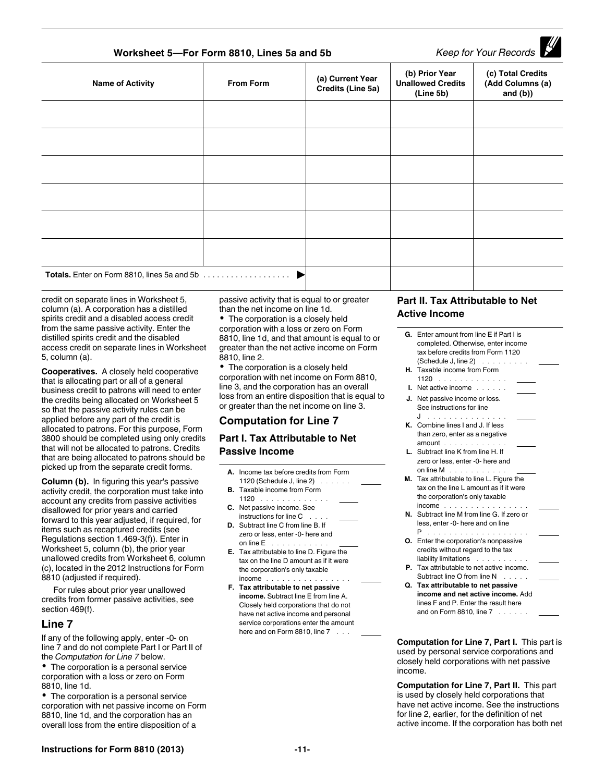# **Worksheet 5—For Form 8810, Lines 5a and 5b** *Keep for Your Records*

| <b>Name of Activity</b> | <b>From Form</b> | (a) Current Year<br>Credits (Line 5a) | (b) Prior Year<br><b>Unallowed Credits</b><br>(Line 5b) | (c) Total Credits<br>(Add Columns (a)<br>and $(b)$ ) |
|-------------------------|------------------|---------------------------------------|---------------------------------------------------------|------------------------------------------------------|
|                         |                  |                                       |                                                         |                                                      |
|                         |                  |                                       |                                                         |                                                      |
|                         |                  |                                       |                                                         |                                                      |
|                         |                  |                                       |                                                         |                                                      |
|                         |                  |                                       |                                                         |                                                      |
|                         |                  |                                       |                                                         |                                                      |
|                         |                  |                                       |                                                         |                                                      |

credit on separate lines in Worksheet 5, column (a). A corporation has a distilled spirits credit and a disabled access credit from the same passive activity. Enter the distilled spirits credit and the disabled access credit on separate lines in Worksheet 5, column (a).

**Cooperatives.** A closely held cooperative that is allocating part or all of a general business credit to patrons will need to enter the credits being allocated on Worksheet 5 so that the passive activity rules can be applied before any part of the credit is allocated to patrons. For this purpose, Form 3800 should be completed using only credits that will not be allocated to patrons. Credits that are being allocated to patrons should be picked up from the separate credit forms.

**Column (b).** In figuring this year's passive activity credit, the corporation must take into account any credits from passive activities disallowed for prior years and carried forward to this year adjusted, if required, for items such as recaptured credits (see Regulations section 1.469-3(f)). Enter in Worksheet 5, column (b), the prior year unallowed credits from Worksheet 6, column (c), located in the 2012 Instructions for Form 8810 (adjusted if required).

For rules about prior year unallowed credits from former passive activities, see section 469(f).

#### **Line 7**

If any of the following apply, enter -0- on line 7 and do not complete Part I or Part II of the *Computation for Line 7* below.

The corporation is a personal service corporation with a loss or zero on Form 8810, line 1d.

• The corporation is a personal service corporation with net passive income on Form 8810, line 1d, and the corporation has an overall loss from the entire disposition of a

passive activity that is equal to or greater than the net income on line 1d.

• The corporation is a closely held corporation with a loss or zero on Form 8810, line 1d, and that amount is equal to or greater than the net active income on Form 8810, line 2.

• The corporation is a closely held corporation with net income on Form 8810, line 3, and the corporation has an overall loss from an entire disposition that is equal to or greater than the net income on line 3.

### **Computation for Line 7**

#### **Part I. Tax Attributable to Net Passive Income**

- **A.** Income tax before credits from Form 1120 (Schedule J, line 2) . . . . . .
- **B.** Taxable income from Form
- 1120  $\ldots$ ...... **C.** Net passive income. See
- instructions for line C . . . **D.** Subtract line C from line B. If zero or less, enter -0- here and on line  $\mathsf{E}^{\top}$  . . . . . . . . . .
- **E.** Tax attributable to line D. Figure the tax on the line D amount as if it were the corporation's only taxable income ................
- **F. Tax attributable to net passive income.** Subtract line E from line A. Closely held corporations that do not have net active income and personal service corporations enter the amount here and on Form 8810, line 7 ...

#### **Part II. Tax Attributable to Net Active Income**

|    | <b>G.</b> Enter amount from line F if Part Lis   |  |
|----|--------------------------------------------------|--|
|    | completed. Otherwise, enter income               |  |
|    | tax before credits from Form 1120                |  |
|    | (Schedule J, line 2) $\ldots$                    |  |
|    | H. Taxable income from Form                      |  |
|    | 1120                                             |  |
|    | <b>I.</b> Net active income $\ldots$             |  |
|    | J. Net passive income or loss.                   |  |
|    | See instructions for line                        |  |
|    | J                                                |  |
|    | K. Combine lines I and J. If less                |  |
|    | than zero, enter as a negative                   |  |
|    | $amount \dots \dots \dots \dots$                 |  |
|    | L. Subtract line K from line H. If               |  |
|    | zero or less, enter -0- here and                 |  |
|    | on line $M$ , $\ldots$ , $\ldots$ , $\ldots$     |  |
|    | M. Tax attributable to line L. Figure the        |  |
|    | tax on the line L amount as if it were           |  |
|    | the corporation's only taxable                   |  |
|    | income                                           |  |
|    | N. Subtract line M from line G. If zero or       |  |
|    | less, enter -0- here and on line                 |  |
|    | P<br>and a straight and a straight<br>.          |  |
| О. | Enter the corporation's nonpassive               |  |
|    | credits without regard to the tax                |  |
|    | liability limitations                            |  |
|    | <b>P.</b> Tax attributable to net active income. |  |
|    | Subtract line O from line N                      |  |
| Q. | Tax attributable to net passive                  |  |
|    | income and net active income. Add                |  |
|    | lines F and P. Enter the result here             |  |

**Computation for Line 7, Part I.** This part is used by personal service corporations and closely held corporations with net passive income.

and on Form 8810, line 7 . . . . . .

**Computation for Line 7, Part II.** This part is used by closely held corporations that have net active income. See the instructions for line 2, earlier, for the definition of net active income. If the corporation has both net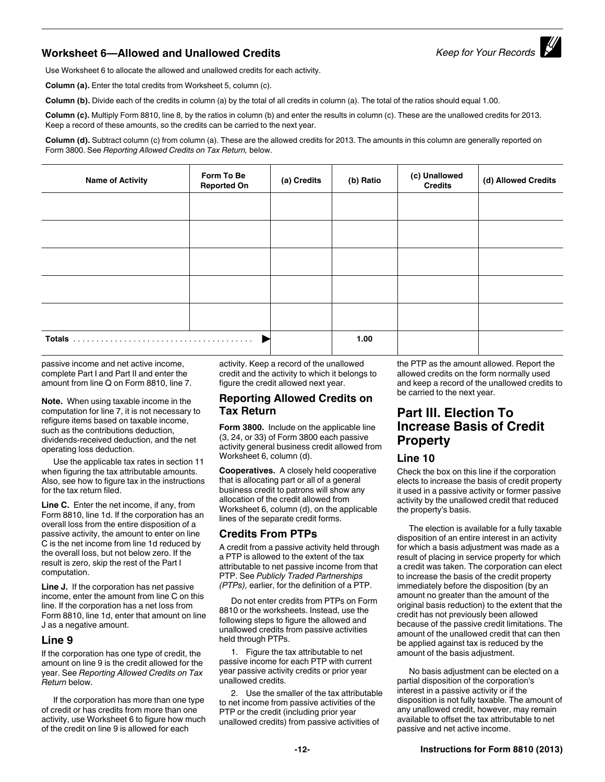# **Worksheet 6—Allowed and Unallowed Credits** *Keep for Your Records*

Use Worksheet 6 to allocate the allowed and unallowed credits for each activity.

**Column (a).** Enter the total credits from Worksheet 5, column (c).

**Column (b).** Divide each of the credits in column (a) by the total of all credits in column (a). The total of the ratios should equal 1.00.

**Column (c).** Multiply Form 8810, line 8, by the ratios in column (b) and enter the results in column (c). These are the unallowed credits for 2013. Keep a record of these amounts, so the credits can be carried to the next year.

**Column (d).** Subtract column (c) from column (a). These are the allowed credits for 2013. The amounts in this column are generally reported on Form 3800. See *Reporting Allowed Credits on Tax Return,* below.

| <b>Name of Activity</b> | Form To Be<br><b>Reported On</b> | (a) Credits | (b) Ratio | (c) Unallowed<br><b>Credits</b> | (d) Allowed Credits |
|-------------------------|----------------------------------|-------------|-----------|---------------------------------|---------------------|
|                         |                                  |             |           |                                 |                     |
|                         |                                  |             |           |                                 |                     |
|                         |                                  |             |           |                                 |                     |
|                         |                                  |             |           |                                 |                     |
|                         |                                  |             |           |                                 |                     |
|                         |                                  |             | 1.00      |                                 |                     |

passive income and net active income, complete Part I and Part II and enter the amount from line Q on Form 8810, line 7.

**Note.** When using taxable income in the computation for line 7, it is not necessary to refigure items based on taxable income, such as the contributions deduction, dividends-received deduction, and the net operating loss deduction.

Use the applicable tax rates in section 11 when figuring the tax attributable amounts. Also, see how to figure tax in the instructions for the tax return filed.

**Line C.** Enter the net income, if any, from Form 8810, line 1d. If the corporation has an overall loss from the entire disposition of a passive activity, the amount to enter on line C is the net income from line 1d reduced by the overall loss, but not below zero. If the result is zero, skip the rest of the Part I computation.

**Line J.** If the corporation has net passive income, enter the amount from line C on this line. If the corporation has a net loss from Form 8810, line 1d, enter that amount on line J as a negative amount.

#### **Line 9**

If the corporation has one type of credit, the amount on line 9 is the credit allowed for the year. See *Reporting Allowed Credits on Tax Return* below.

If the corporation has more than one type of credit or has credits from more than one activity, use Worksheet 6 to figure how much of the credit on line 9 is allowed for each

activity. Keep a record of the unallowed credit and the activity to which it belongs to figure the credit allowed next year.

#### **Reporting Allowed Credits on Tax Return**

**Form 3800.** Include on the applicable line (3, 24, or 33) of Form 3800 each passive activity general business credit allowed from Worksheet 6, column (d).

**Cooperatives.** A closely held cooperative that is allocating part or all of a general business credit to patrons will show any allocation of the credit allowed from Worksheet 6, column (d), on the applicable lines of the separate credit forms.

### **Credits From PTPs**

A credit from a passive activity held through a PTP is allowed to the extent of the tax attributable to net passive income from that PTP. See *Publicly Traded Partnerships (PTPs),* earlier, for the definition of a PTP.

Do not enter credits from PTPs on Form 8810 or the worksheets. Instead, use the following steps to figure the allowed and unallowed credits from passive activities held through PTPs.

1. Figure the tax attributable to net passive income for each PTP with current year passive activity credits or prior year unallowed credits.

2. Use the smaller of the tax attributable to net income from passive activities of the PTP or the credit (including prior year unallowed credits) from passive activities of

the PTP as the amount allowed. Report the allowed credits on the form normally used and keep a record of the unallowed credits to be carried to the next year.

# **Part III. Election To Increase Basis of Credit Property**

#### **Line 10**

Check the box on this line if the corporation elects to increase the basis of credit property it used in a passive activity or former passive activity by the unallowed credit that reduced the property's basis.

The election is available for a fully taxable disposition of an entire interest in an activity for which a basis adjustment was made as a result of placing in service property for which a credit was taken. The corporation can elect to increase the basis of the credit property immediately before the disposition (by an amount no greater than the amount of the original basis reduction) to the extent that the credit has not previously been allowed because of the passive credit limitations. The amount of the unallowed credit that can then be applied against tax is reduced by the amount of the basis adjustment.

No basis adjustment can be elected on a partial disposition of the corporation's interest in a passive activity or if the disposition is not fully taxable. The amount of any unallowed credit, however, may remain available to offset the tax attributable to net passive and net active income.